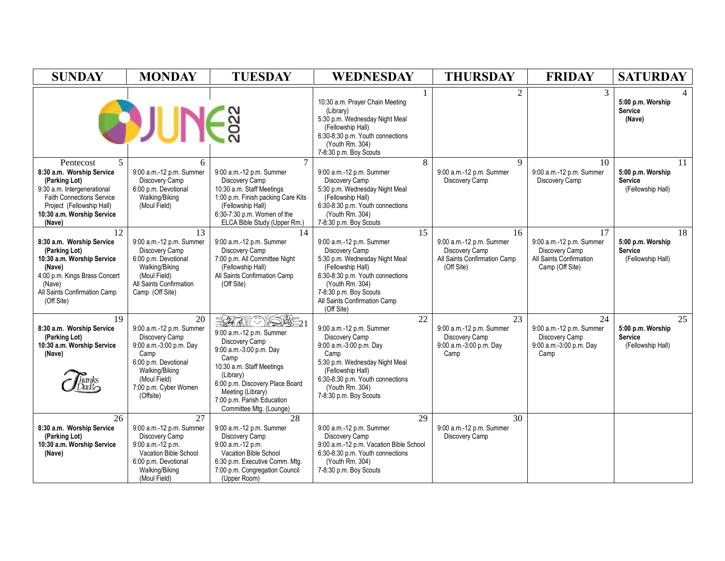| <b>SUNDAY</b>                                                                                                                                                                                                  | <b>MONDAY</b>                                                                                                                                                                       | <b>TUESDAY</b>                                                                                                                                                                                                                                       | WEDNESDAY                                                                                                                                                                                                                              | <b>THURSDAY</b>                                                                                | <b>FRIDAY</b>                                                                                  | <b>SATURDAY</b>                                                |
|----------------------------------------------------------------------------------------------------------------------------------------------------------------------------------------------------------------|-------------------------------------------------------------------------------------------------------------------------------------------------------------------------------------|------------------------------------------------------------------------------------------------------------------------------------------------------------------------------------------------------------------------------------------------------|----------------------------------------------------------------------------------------------------------------------------------------------------------------------------------------------------------------------------------------|------------------------------------------------------------------------------------------------|------------------------------------------------------------------------------------------------|----------------------------------------------------------------|
|                                                                                                                                                                                                                | <b>BUNER</b>                                                                                                                                                                        |                                                                                                                                                                                                                                                      | 10:30 a.m. Prayer Chain Meeting<br>(Library)<br>5:30 p.m. Wednesday Night Meal<br>(Fellowship Hall)<br>6:30-8:30 p.m. Youth connections<br>(Youth Rm. 304)<br>7-8:30 p.m. Boy Scouts                                                   | $\overline{2}$                                                                                 | 3                                                                                              | 5:00 p.m. Worship<br><b>Service</b><br>(Nave)                  |
| $5^{\circ}$<br>Pentecost<br>8:30 a.m. Worship Service<br>(Parking Lot)<br>9:30 a.m. Intergenerational<br><b>Faith Connections Service</b><br>Project (Fellowship Hall)<br>10:30 a.m. Worship Service<br>(Nave) | 6<br>9:00 a.m.-12 p.m. Summer<br>Discovery Camp<br>6:00 p.m. Devotional<br>Walking/Biking<br>(Moul Field)                                                                           | $\tau$<br>9:00 a.m.-12 p.m. Summer<br>Discovery Camp<br>10:30 a.m. Staff Meetings<br>1:00 p.m. Finish packing Care Kits<br>(Fellowship Hall)<br>6:30-7:30 p.m. Women of the<br>ELCA Bible Study (Upper Rm.)                                          | 8<br>9:00 a.m.-12 p.m. Summer<br>Discovery Camp<br>5:30 p.m. Wednesday Night Meal<br>(Fellowship Hall)<br>6:30-8:30 p.m. Youth connections<br>(Youth Rm. 304)<br>7-8:30 p.m. Boy Scouts                                                | $\mathbf{Q}$<br>9:00 a.m.-12 p.m. Summer<br>Discovery Camp                                     | 10<br>9:00 a.m.-12 p.m. Summer<br>Discovery Camp                                               | 11<br>5:00 p.m. Worship<br><b>Service</b><br>(Fellowship Hall) |
| 12<br>8:30 a.m. Worship Service<br>(Parking Lot)<br>10:30 a.m. Worship Service<br>(Nave)<br>4:00 p.m. Kings Brass Concert<br>(Nave)<br>All Saints Confirmation Camp<br>(Off Site)                              | 13<br>9:00 a.m.-12 p.m. Summer<br>Discovery Camp<br>6:00 p.m. Devotional<br>Walking/Biking<br>(Moul Field)<br>All Saints Confirmation<br>Camp (Off Site)                            | 14<br>9:00 a.m.-12 p.m. Summer<br>Discovery Camp<br>7:00 p.m. All Committee Night<br>(Fellowship Hall)<br>All Saints Confirmation Camp<br>(Off Site)                                                                                                 | 15<br>9:00 a.m.-12 p.m. Summer<br>Discovery Camp<br>5:30 p.m. Wednesday Night Meal<br>(Fellowship Hall)<br>6:30-8:30 p.m. Youth connections<br>(Youth Rm. 304)<br>7-8:30 p.m. Boy Scouts<br>All Saints Confirmation Camp<br>(Off Site) | 16<br>9:00 a.m.-12 p.m. Summer<br>Discovery Camp<br>All Saints Confirmation Camp<br>(Off Site) | 17<br>9:00 a.m.-12 p.m. Summer<br>Discovery Camp<br>All Saints Confirmation<br>Camp (Off Site) | 18<br>5:00 p.m. Worship<br><b>Service</b><br>(Fellowship Hall) |
| 19<br>8:30 a.m. Worship Service<br>(Parking Lot)<br>10:30 a.m. Worship Service<br>(Nave)                                                                                                                       | 20<br>9:00 a.m.-12 p.m. Summer<br>Discovery Camp<br>9:00 a.m.-3:00 p.m. Day<br>Camp<br>6:00 p.m. Devotional<br>Walking/Biking<br>(Moul Field)<br>7:00 p.m. Cyber Women<br>(Offsite) | ESTRE 21<br>9:00 a.m.-12 p.m. Summer<br>Discovery Camp<br>9:00 a.m.-3:00 p.m. Day<br>Camp<br>10:30 a.m. Staff Meetings<br>(Library)<br>6:00 p.m. Discovery Place Board<br>Meeting (Library)<br>7:00 p.m. Parish Education<br>Committee Mtg. (Lounge) | 22<br>9:00 a.m.-12 p.m. Summer<br>Discovery Camp<br>9:00 a.m.-3:00 p.m. Day<br>Camp<br>5:30 p.m. Wednesday Night Meal<br>(Fellowship Hall)<br>6:30-8:30 p.m. Youth connections<br>(Youth Rm. 304)<br>7-8:30 p.m. Boy Scouts            | 23<br>9:00 a.m.-12 p.m. Summer<br>Discovery Camp<br>9:00 a.m.-3:00 p.m. Day<br>Camp            | 24<br>9:00 a.m.-12 p.m. Summer<br>Discovery Camp<br>9:00 a.m.-3:00 p.m. Day<br>Camp            | 25<br>5:00 p.m. Worship<br><b>Service</b><br>(Fellowship Hall) |
| 26<br>8:30 a.m. Worship Service<br>(Parking Lot)<br>10:30 a.m. Worship Service<br>(Nave)                                                                                                                       | 27<br>9:00 a.m.-12 p.m. Summer<br>Discovery Camp<br>9:00 a.m.-12 p.m.<br>Vacation Bible School<br>6:00 p.m. Devotional<br>Walking/Biking<br>(Moul Field)                            | 28<br>9:00 a.m.-12 p.m. Summer<br>Discovery Camp<br>9:00 a.m.-12 p.m.<br>Vacation Bible School<br>6:30 p.m. Executive Comm. Mtg.<br>7:00 p.m. Congregation Council<br>(Upper Room)                                                                   | 29<br>9:00 a.m.-12 p.m. Summer<br>Discovery Camp<br>9:00 a.m.-12 p.m. Vacation Bible School<br>6:30-8:30 p.m. Youth connections<br>(Youth Rm. 304)<br>7-8:30 p.m. Boy Scouts                                                           | 30<br>9:00 a.m.-12 p.m. Summer<br>Discovery Camp                                               |                                                                                                |                                                                |